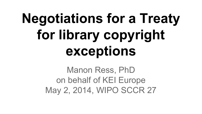# **Negotiations for a Treaty for library copyright exceptions**

Manon Ress, PhD on behalf of KEI Europe May 2, 2014, WIPO SCCR 27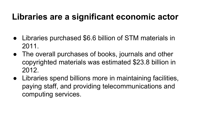### **Libraries are a significant economic actor**

- Libraries purchased \$6.6 billion of STM materials in 2011.
- The overall purchases of books, journals and other copyrighted materials was estimated \$23.8 billion in 2012.
- Libraries spend billions more in maintaining facilities, paying staff, and providing telecommunications and computing services.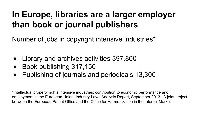## **In Europe, libraries are a larger employer than book or journal publishers**

Number of jobs in copyright intensive industries\*

- Library and archives activities 397,800
- Book publishing 317,150
- Publishing of journals and periodicals 13,300

\*Intellectual property rights intensive industries: contribution to economic performance and employment in the European Union, Industry-Level Analysis Report, September 2013. A joint project between the European Patent Office and the Office for Harmonization in the Internal Market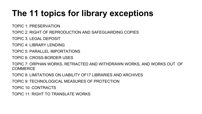# **The 11 topics for library exceptions**

TOPIC 1: PRESERVATION

TOPIC 2: RIGHT OF REPRODUCTION AND SAFEGUARDING COPIES

TOPIC 3: LEGAL DEPOSIT

TOPIC 4: LIBRARY LENDING

TOPIC 5: PARALLEL IMPORTATIONS

TOPIC 6: CROSS-BORDER USES

TOPIC 7: ORPHAN WORKS, RETRACTED AND WITHDRAWN WORKS, AND WORKS OUT OF **COMMERCE** 

TOPIC 8: LIMITATIONS ON LIABILITY OF17 LIBRARIES AND ARCHIVES

TOPIC 9: TECHNOLOGICAL MEASURES OF PROTECTION

TOPIC 10: CONTRACTS

TOPIC 11: RIGHT TO TRANSLATE WORKS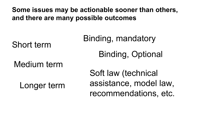**Some issues may be actionable sooner than others, and there are many possible outcomes**

Short term

Medium term

Longer term

Binding, mandatory

Binding, Optional

Soft law (technical assistance, model law, recommendations, etc.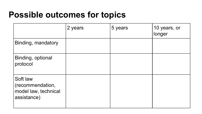#### **Possible outcomes for topics**

|                                                                     | 2 years | 5 years | 10 years, or<br>longer |
|---------------------------------------------------------------------|---------|---------|------------------------|
| Binding, mandatory                                                  |         |         |                        |
| Binding, optional<br>protocol                                       |         |         |                        |
| Soft law<br>(recommendation,<br>model law, technical<br>assistance) |         |         |                        |